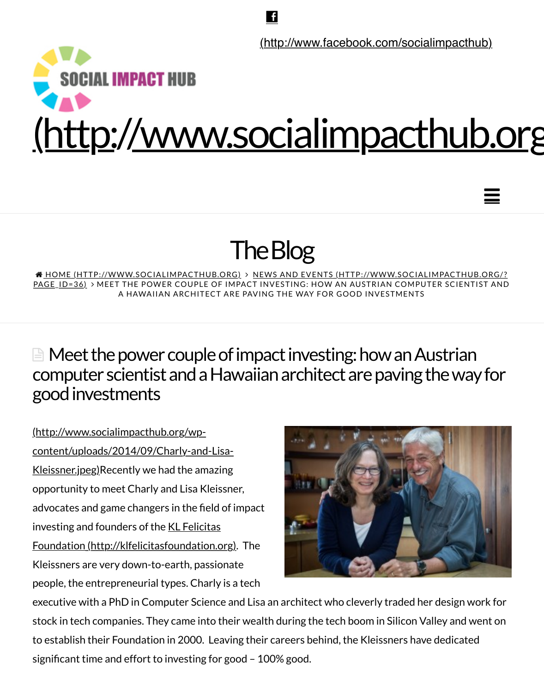

# The Blog

<u> A HOME (HTTP://WWW.SOCIALIMPACTHUB.ORG)</u> > <u>NEWS AND EVENTS (HTTP://WWW.SOCIALIMPACT</u>I PAGE\_ID=36) > MEET THE POWER COUPLE OF IMPACT INVESTING: HOW AN AUSTRIAN COMPUTER SCIE A HAWAIIAN ARCHITECT ARE PAVING THE WAY FOR GOOD INVESTMENTS

## $\blacksquare$  Meet the power couple of impact investing: how an Austria computer scientist and a Hawaiian architect are paving the w good investments

http://www.socialimpacthub.org/wpcontent/uploads/2014/09/Charly-and-Lisa-Kleissner.jpeg)Recently we had the amazing opportunity to meet Charly and Lisa Kleissner, advocates and game changers in the field of impact investing and founders of the KL Felicitas Foundation (http://klfelicitasfoundation.org). The Kleissners are very down-to-earth, passionate people, the entrepreneurial types. Charly is a tech



executive with a PhD in Computer Science and Lisa an architect who cleverly traded her design [stock in tech companies. They came into their](http://klfelicitasfoundation.org/) wealth during the tech boom in Silicon Valley and to establish their Foundation in 2000. Leaving their careers behind, the Kleissners have dedicated significant time and effort to investing for good – 100% good. Impact Investing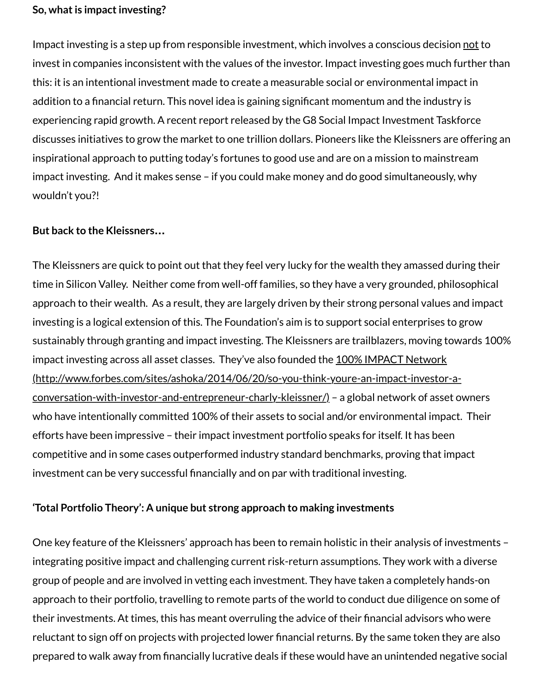addition to a financial return. This novel idea is gaining significant momentum and the industry experiencing rapid growth. A recent report released by the G8 Social Impact Investment Taskforce discusses initiatives to grow the market to one trillion dollars. Pioneers like the Kleissners are o inspirational approach to putting today's fortunes to good use and are on a mission to mainstre impact investing. And it makes sense – if you could make money and do good simultaneously, v wouldn't you?!

#### **But back to the Kleissners…**

The Kleissners are quick to point out that they feel very lucky for the wealth they amassed during their their time in Silicon Valley. Neither come from well-off families, so they have a very grounded, philos approach to their wealth. As a result, they are largely driven by their strong personal values ar investing is a logical extension of this. The Foundation's aim is to support social enterprises to g sustainably through granting and impact investing. The Kleissners are trailblazers, moving tow impact investing across all asset classes. They've also founded the 100% IMPACT Network (http://www.forbes.com/sites/ashoka/2014/06/20/so-you-think-youre-an-impact-investor-aconversation-with-investor-and-entrepreneur-charly-kleissner/) – a global network of asset o who have intentionally committed 100% of their assets to social and/or environmental impact. efforts have been impressive – their impact investment portfolio speaks for itself. It has been [competitive and in some cases outperformed industry standard benchmarks, proving that impa](http://www.forbes.com/sites/ashoka/2014/06/20/so-you-think-youre-an-impact-investor-a-conversation-with-investor-and-entrepreneur-charly-kleissner/)ctioninvestment can be very successful financially and on par with traditional investing.

#### **'Total Portfolio Theory': A unique but strong approach to making investments**

One key feature of the Kleissners' approach has been to remain holistic in their analysis of inve integrating positive impact and challenging current risk-return assumptions. They work with a group of people and are involved in vetting each investment. They have taken a completely har approach to their portfolio, travelling to remote parts of the world to conduct due diligence on their investments. At times, this has meant overruling the advice of their financial advisors who reluctant to sign off on projects with projected lower financial returns. By the same token they prepared to walk away from financially lucrative deals if these would have an unintended nega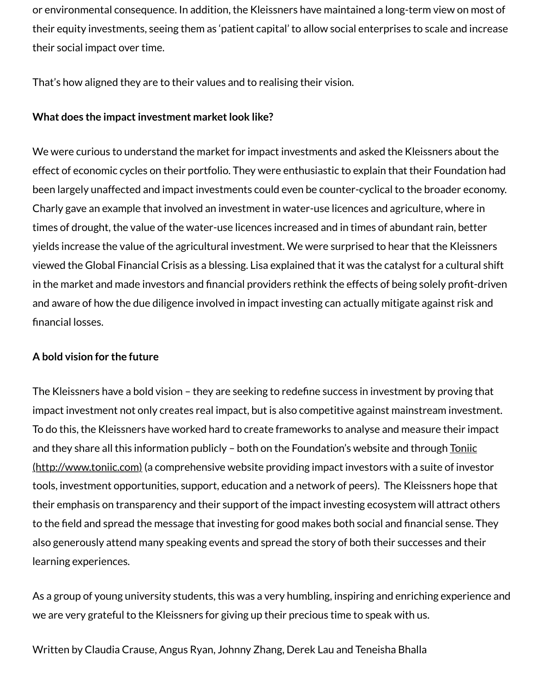#### **What does the impact investment market look like?**

We were curious to understand the market for impact investments and asked the Kleissners al effect of economic cycles on their portfolio. They were enthusiastic to explain that their Found been largely unaffected and impact investments could even be counter-cyclical to the broader Charly gave an example that involved an investment in water-use licences and agriculture, whe times of drought, the value of the water-use licences increased and in times of abundant rain, b yields increase the value of the agricultural investment. We were surprised to hear that the Kle viewed the Global Financial Crisis as a blessing. Lisa explained that it was the catalyst for a cult in the market and made investors and financial providers rethink the effects of being solely pro and aware of how the due diligence involved in impact investing can actually mitigate against r financial losses.

#### **A bold vision for the future**

The Kleissners have a bold vision – they are seeking to redefine success in investment by provi impact investment not only creates real impact, but is also competitive against mainstream inv To do this, the Kleissners have worked hard to create frameworks to analyse and measure thei and they share all this information publicly – both on the Foundation's website and through To (http://www.toniic.com) (a comprehensive website providing impact investors with a suite of ir tools, investment opportunities, support, education and a network of peers). The Kleissners ho their emphasis on transparency and their support of the impact investing ecosystem will attrad to the field and spread the message that investing for good makes both social and financial sen also generously attend many speaking events and spread the story of both their successes and learning experiences.

As a group of young university students, this was a very humbling, inspiring and enriching experience and this we are very grateful to the Kleissners for giving up their precious time to speak with us.

Written by Claudia Crause, Angus Ryan, Johnny Zhang, Derek Lau and Teneisha Bhalla